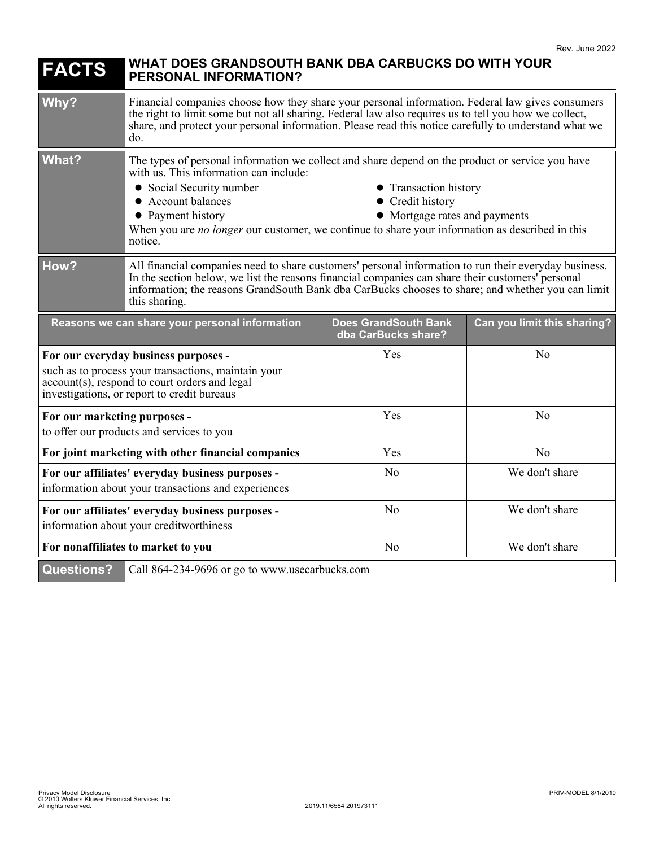| <b>FACTS</b>                                                                                                                                                                                | WHAT DOES GRANDSOUTH BANK DBA CARBUCKS DO WITH YOUR<br><b>PERSONAL INFORMATION?</b>                                                                                                                                                                                                                                                                                                                           |                                                    |                             |
|---------------------------------------------------------------------------------------------------------------------------------------------------------------------------------------------|---------------------------------------------------------------------------------------------------------------------------------------------------------------------------------------------------------------------------------------------------------------------------------------------------------------------------------------------------------------------------------------------------------------|----------------------------------------------------|-----------------------------|
| Why?                                                                                                                                                                                        | Financial companies choose how they share your personal information. Federal law gives consumers<br>the right to limit some but not all sharing. Federal law also requires us to tell you how we collect,<br>share, and protect your personal information. Please read this notice carefully to understand what we<br>do.                                                                                     |                                                    |                             |
| <b>What?</b>                                                                                                                                                                                | The types of personal information we collect and share depend on the product or service you have<br>with us. This information can include:<br>• Social Security number<br>• Transaction history<br>• Account balances<br>• Credit history<br>• Payment history<br>• Mortgage rates and payments<br>When you are no longer our customer, we continue to share your information as described in this<br>notice. |                                                    |                             |
| How?                                                                                                                                                                                        | All financial companies need to share customers' personal information to run their everyday business.<br>In the section below, we list the reasons financial companies can share their customers' personal<br>information; the reasons GrandSouth Bank dba CarBucks chooses to share; and whether you can limit<br>this sharing.                                                                              |                                                    |                             |
| Reasons we can share your personal information                                                                                                                                              |                                                                                                                                                                                                                                                                                                                                                                                                               | <b>Does GrandSouth Bank</b><br>dba CarBucks share? | Can you limit this sharing? |
| For our everyday business purposes -<br>such as to process your transactions, maintain your<br>account(s), respond to court orders and legal<br>investigations, or report to credit bureaus |                                                                                                                                                                                                                                                                                                                                                                                                               | Yes                                                | N <sub>o</sub>              |
| For our marketing purposes -<br>to offer our products and services to you                                                                                                                   |                                                                                                                                                                                                                                                                                                                                                                                                               | Yes                                                | N <sub>0</sub>              |
| For joint marketing with other financial companies                                                                                                                                          |                                                                                                                                                                                                                                                                                                                                                                                                               | Yes                                                | No                          |
| For our affiliates' everyday business purposes -<br>information about your transactions and experiences                                                                                     |                                                                                                                                                                                                                                                                                                                                                                                                               | N <sub>o</sub>                                     | We don't share              |
| For our affiliates' everyday business purposes -<br>information about your creditworthiness                                                                                                 |                                                                                                                                                                                                                                                                                                                                                                                                               | No                                                 | We don't share              |
| For nonaffiliates to market to you                                                                                                                                                          |                                                                                                                                                                                                                                                                                                                                                                                                               | N <sub>o</sub>                                     | We don't share              |
| <b>Questions?</b><br>Call 864-234-9696 or go to www.usecarbucks.com                                                                                                                         |                                                                                                                                                                                                                                                                                                                                                                                                               |                                                    |                             |